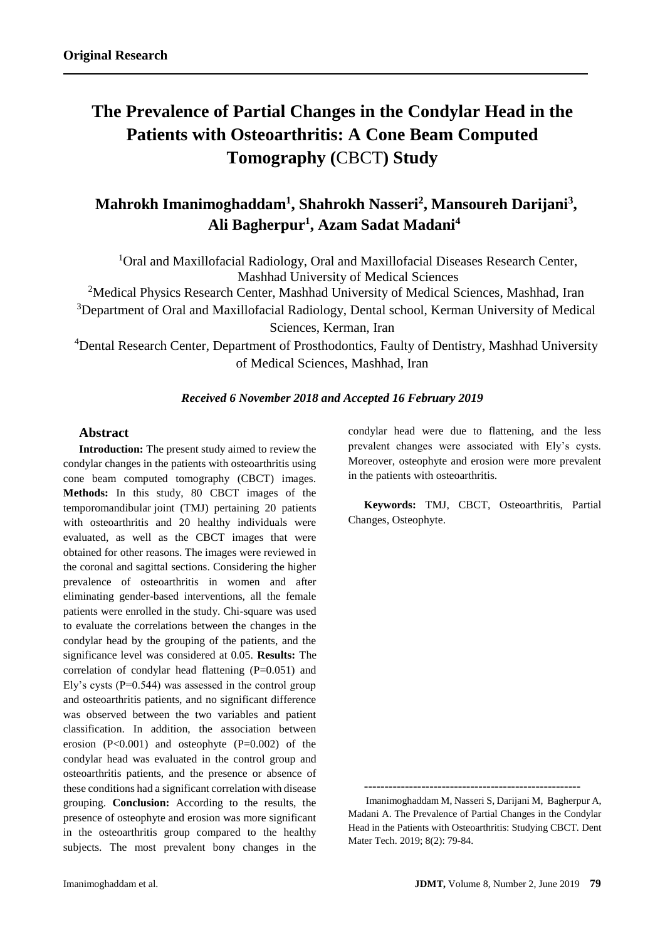# **The Prevalence of Partial Changes in the Condylar Head in the Patients with Osteoarthritis: A [Cone Beam Computed](https://www.ncbi.nlm.nih.gov/pubmed/30737619)  [Tomography \(](https://www.ncbi.nlm.nih.gov/pubmed/30737619)**CBCT**) Study**

# **Mahrokh Imanimoghaddam<sup>1</sup> , Shahrokh Nasseri<sup>2</sup> , Mansoureh Darijani<sup>3</sup> , Ali Bagherpur<sup>1</sup> , Azam Sadat Madani<sup>4</sup>**

<sup>1</sup>Oral and Maxillofacial Radiology, Oral and Maxillofacial Diseases Research Center, Mashhad University of Medical Sciences

<sup>2</sup>Medical Physics Research Center, Mashhad University of Medical Sciences, Mashhad, Iran

<sup>3</sup>Department of Oral and Maxillofacial Radiology, Dental school, Kerman University of Medical Sciences, Kerman, Iran

<sup>4</sup>Dental Research Center, Department of Prosthodontics, Faulty of Dentistry, Mashhad University of Medical Sciences, Mashhad, Iran

## *Received 6 November 2018 and Accepted 16 February 2019*

#### **Abstract**

**Introduction:** The present study aimed to review the condylar changes in the patients with osteoarthritis using cone beam computed tomography (CBCT) images. **Methods:** In this study, 80 CBCT images of the temporomandibular joint (TMJ) pertaining 20 patients with osteoarthritis and 20 healthy individuals were evaluated, as well as the CBCT images that were obtained for other reasons. The images were reviewed in the coronal and sagittal sections. Considering the higher prevalence of osteoarthritis in women and after eliminating gender-based interventions, all the female patients were enrolled in the study. Chi-square was used to evaluate the correlations between the changes in the condylar head by the grouping of the patients, and the significance level was considered at 0.05. **Results:** The correlation of condylar head flattening (P=0.051) and Ely's cysts  $(P=0.544)$  was assessed in the control group and osteoarthritis patients, and no significant difference was observed between the two variables and patient classification. In addition, the association between erosion  $(P<0.001)$  and osteophyte  $(P=0.002)$  of the condylar head was evaluated in the control group and osteoarthritis patients, and the presence or absence of these conditions had a significant correlation with disease grouping. **Conclusion:** According to the results, the presence of osteophyte and erosion was more significant in the osteoarthritis group compared to the healthy subjects. The most prevalent bony changes in the condylar head were due to flattening, and the less prevalent changes were associated with Ely's cysts. Moreover, osteophyte and erosion were more prevalent in the patients with osteoarthritis.

**Keywords:** TMJ, CBCT, Osteoarthritis, Partial Changes, Osteophyte.

**-----------------------------------------------------**

 Imanimoghaddam M, Nasseri S, Darijani M, Bagherpur A, Madani A. The Prevalence of Partial Changes in the Condylar Head in the Patients with Osteoarthritis: Studying CBCT. Dent Mater Tech. 2019; 8(2): 79-84.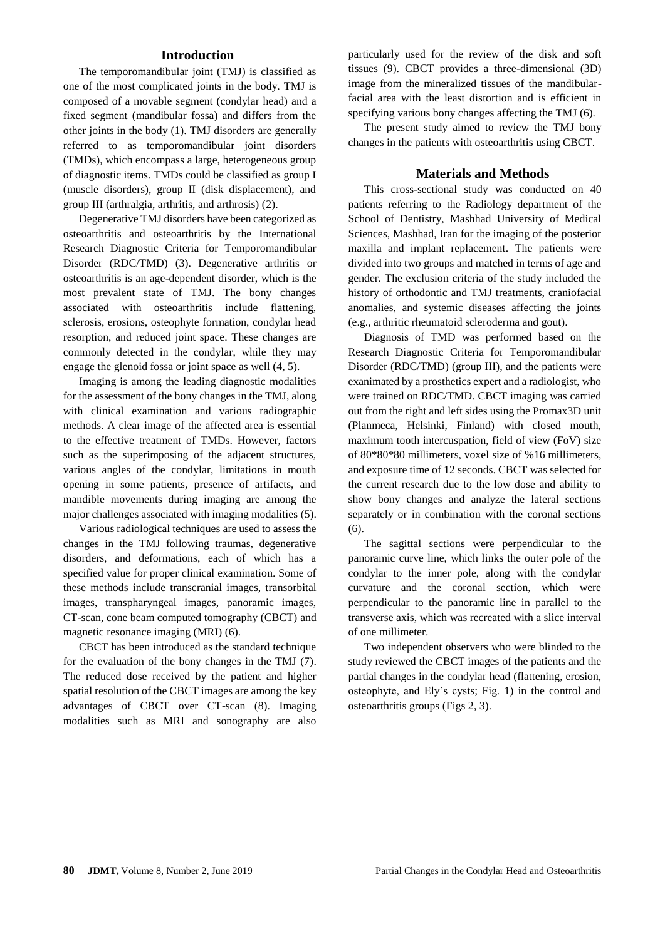#### **Introduction**

The temporomandibular joint (TMJ) is classified as one of the most complicated joints in the body. TMJ is composed of a movable segment (condylar head) and a fixed segment (mandibular fossa) and differs from the other joints in the body (1). TMJ disorders are generally referred to as temporomandibular joint disorders (TMDs), which encompass a large, heterogeneous group of diagnostic items. TMDs could be classified as group I (muscle disorders), group II (disk displacement), and group III (arthralgia, arthritis, and arthrosis) (2).

Degenerative TMJ disorders have been categorized as osteoarthritis and osteoarthritis by the International Research Diagnostic Criteria for Temporomandibular Disorder (RDC/TMD) (3). Degenerative arthritis or osteoarthritis is an age-dependent disorder, which is the most prevalent state of TMJ. The bony changes associated with osteoarthritis include flattening, sclerosis, erosions, osteophyte formation, condylar head resorption, and reduced joint space. These changes are commonly detected in the condylar, while they may engage the glenoid fossa or joint space as well (4, 5).

Imaging is among the leading diagnostic modalities for the assessment of the bony changes in the TMJ, along with clinical examination and various radiographic methods. A clear image of the affected area is essential to the effective treatment of TMDs. However, factors such as the superimposing of the adjacent structures, various angles of the condylar, limitations in mouth opening in some patients, presence of artifacts, and mandible movements during imaging are among the major challenges associated with imaging modalities (5).

Various radiological techniques are used to assess the changes in the TMJ following traumas, degenerative disorders, and deformations, each of which has a specified value for proper clinical examination. Some of these methods include transcranial images, transorbital images, transpharyngeal images, panoramic images, CT-scan, cone beam computed tomography (CBCT) and magnetic resonance imaging (MRI) (6).

CBCT has been introduced as the standard technique for the evaluation of the bony changes in the TMJ (7). The reduced dose received by the patient and higher spatial resolution of the CBCT images are among the key advantages of CBCT over CT-scan (8). Imaging modalities such as MRI and sonography are also particularly used for the review of the disk and soft tissues (9). CBCT provides a three-dimensional (3D) image from the mineralized tissues of the mandibularfacial area with the least distortion and is efficient in specifying various bony changes affecting the TMJ (6).

The present study aimed to review the TMJ bony changes in the patients with osteoarthritis using CBCT.

#### **Materials and Methods**

This cross-sectional study was conducted on 40 patients referring to the Radiology department of the School of Dentistry, Mashhad University of Medical Sciences, Mashhad, Iran for the imaging of the posterior maxilla and implant replacement. The patients were divided into two groups and matched in terms of age and gender. The exclusion criteria of the study included the history of orthodontic and TMJ treatments, craniofacial anomalies, and systemic diseases affecting the joints (e.g., arthritic rheumatoid scleroderma and gout).

Diagnosis of TMD was performed based on the Research Diagnostic Criteria for Temporomandibular Disorder (RDC/TMD) (group III), and the patients were exanimated by a prosthetics expert and a radiologist, who were trained on RDC/TMD. CBCT imaging was carried out from the right and left sides using the Promax3D unit (Planmeca, Helsinki, Finland) with closed mouth, maximum tooth intercuspation, field of view (FoV) size of 80\*80\*80 millimeters, voxel size of %16 millimeters, and exposure time of 12 seconds. CBCT was selected for the current research due to the low dose and ability to show bony changes and analyze the lateral sections separately or in combination with the coronal sections (6).

The sagittal sections were perpendicular to the panoramic curve line, which links the outer pole of the condylar to the inner pole, along with the condylar curvature and the coronal section, which were perpendicular to the panoramic line in parallel to the transverse axis, which was recreated with a slice interval of one millimeter.

Two independent observers who were blinded to the study reviewed the CBCT images of the patients and the partial changes in the condylar head (flattening, erosion, osteophyte, and Ely's cysts; Fig. 1) in the control and osteoarthritis groups (Figs 2, 3).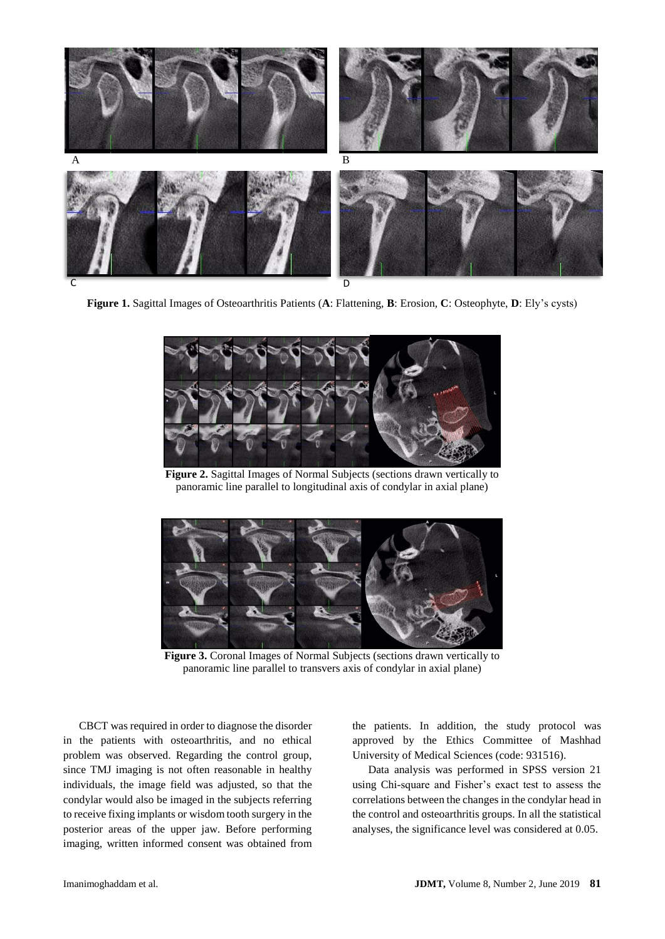

**Figure 1.** Sagittal Images of Osteoarthritis Patients (**A**: Flattening, **B**: Erosion, **C**: Osteophyte, **D**: Ely's cysts)



**Figure 2.** Sagittal Images of Normal Subjects (sections drawn vertically to panoramic line parallel to longitudinal axis of condylar in axial plane)



**Figure 3.** Coronal Images of Normal Subjects (sections drawn vertically to panoramic line parallel to transvers axis of condylar in axial plane)

CBCT was required in order to diagnose the disorder in the patients with osteoarthritis, and no ethical problem was observed. Regarding the control group, since TMJ imaging is not often reasonable in healthy individuals, the image field was adjusted, so that the condylar would also be imaged in the subjects referring to receive fixing implants or wisdom tooth surgery in the posterior areas of the upper jaw. Before performing imaging, written informed consent was obtained from

the patients. In addition, the study protocol was approved by the Ethics Committee of Mashhad University of Medical Sciences (code: 931516).

Data analysis was performed in SPSS version 21 using Chi-square and Fisher's exact test to assess the correlations between the changes in the condylar head in the control and osteoarthritis groups. In all the statistical analyses, the significance level was considered at 0.05.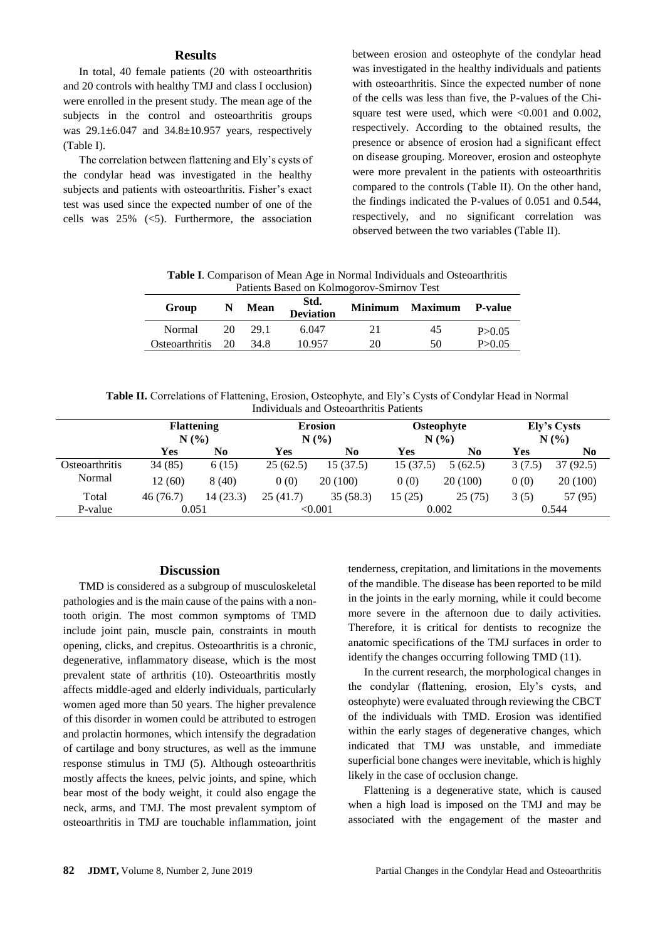#### **Results**

In total, 40 female patients (20 with osteoarthritis and 20 controls with healthy TMJ and class I occlusion) were enrolled in the present study. The mean age of the subjects in the control and osteoarthritis groups was  $29.1 \pm 6.047$  and  $34.8 \pm 10.957$  years, respectively (Table I).

The correlation between flattening and Ely's cysts of the condylar head was investigated in the healthy subjects and patients with osteoarthritis. Fisher's exact test was used since the expected number of one of the cells was  $25\%$  (<5). Furthermore, the association

between erosion and osteophyte of the condylar head was investigated in the healthy individuals and patients with osteoarthritis. Since the expected number of none of the cells was less than five, the P-values of the Chisquare test were used, which were  $<0.001$  and 0.002, respectively. According to the obtained results, the presence or absence of erosion had a significant effect on disease grouping. Moreover, erosion and osteophyte were more prevalent in the patients with osteoarthritis compared to the controls (Table II). On the other hand, the findings indicated the P-values of 0.051 and 0.544, respectively, and no significant correlation was observed between the two variables (Table II).

**Table I**. Comparison of Mean Age in Normal Individuals and Osteoarthritis Patients Based on Kolmogorov-Smirnov Test

| Group                  | N   | <b>Mean</b> | Std.<br><b>Deviation</b> | Minimum | <b>Maximum</b> | <b>P-value</b> |
|------------------------|-----|-------------|--------------------------|---------|----------------|----------------|
| Normal                 | 20. | 29.1        | 6.047                    | 21      | 45             | P > 0.05       |
| <b>O</b> steoarthritis | 20  | 34.8        | 10.957                   | 20      | 50             | P > 0.05       |

**Table II.** Correlations of Flattening, Erosion, Osteophyte, and Ely's Cysts of Condylar Head in Normal Individuals and Osteoarthritis Patients

|                | <b>Flattening</b><br>N(% |           | <b>Erosion</b><br>N(%) |           | Osteophyte<br>N(%) |          | Ely's Cysts<br>N(%) |          |
|----------------|--------------------------|-----------|------------------------|-----------|--------------------|----------|---------------------|----------|
|                | Yes                      | No        | Yes                    | No        | Yes                | No       | Yes                 | No       |
| Osteoarthritis | 34(85)                   | 6(15)     | 25(62.5)               | 15 (37.5) | 15(37.5)           | 5(62.5)  | 3(7.5)              | 37(92.5) |
| Normal         | 12(60)                   | 8(40)     | 0(0)                   | 20 (100)  | 0(0)               | 20 (100) | 0(0)                | 20(100)  |
| Total          | 46(76.7)                 | 14 (23.3) | 25(41.7)               | 35(58.3)  | 15 (25)            | 25(75)   | 3(5)                | 57 (95)  |
| P-value        | 0.051                    |           | $<\!\!0.001$           |           | 0.002              |          | 0.544               |          |

#### **Discussion**

TMD is considered as a subgroup of musculoskeletal pathologies and is the main cause of the pains with a nontooth origin. The most common symptoms of TMD include joint pain, muscle pain, constraints in mouth opening, clicks, and crepitus. Osteoarthritis is a chronic, degenerative, inflammatory disease, which is the most prevalent state of arthritis (10). Osteoarthritis mostly affects middle-aged and elderly individuals, particularly women aged more than 50 years. The higher prevalence of this disorder in women could be attributed to estrogen and prolactin hormones, which intensify the degradation of cartilage and bony structures, as well as the immune response stimulus in TMJ (5). Although osteoarthritis mostly affects the knees, pelvic joints, and spine, which bear most of the body weight, it could also engage the neck, arms, and TMJ. The most prevalent symptom of osteoarthritis in TMJ are touchable inflammation, joint

tenderness, crepitation, and limitations in the movements of the mandible. The disease has been reported to be mild in the joints in the early morning, while it could become more severe in the afternoon due to daily activities. Therefore, it is critical for dentists to recognize the anatomic specifications of the TMJ surfaces in order to identify the changes occurring following TMD (11).

In the current research, the morphological changes in the condylar (flattening, erosion, Ely's cysts, and osteophyte) were evaluated through reviewing the CBCT of the individuals with TMD. Erosion was identified within the early stages of degenerative changes, which indicated that TMJ was unstable, and immediate superficial bone changes were inevitable, which is highly likely in the case of occlusion change.

Flattening is a degenerative state, which is caused when a high load is imposed on the TMJ and may be associated with the engagement of the master and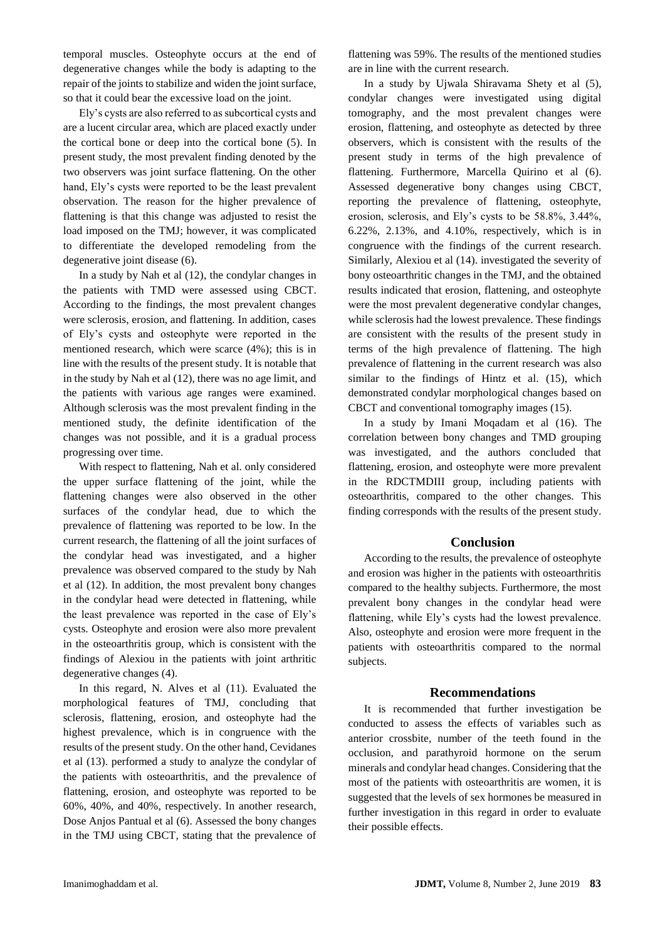temporal muscles. Osteophyte occurs at the end of degenerative changes while the body is adapting to the repair of the joints to stabilize and widen the joint surface, so that it could bear the excessive load on the joint.

Ely's cysts are also referred to as subcortical cysts and are a lucent circular area, which are placed exactly under the cortical bone or deep into the cortical bone (5). In present study, the most prevalent finding denoted by the two observers was joint surface flattening. On the other hand, Ely's cysts were reported to be the least prevalent observation. The reason for the higher prevalence of flattening is that this change was adjusted to resist the load imposed on the TMJ; however, it was complicated to differentiate the developed remodeling from the degenerative joint disease (6).

In a study by Nah et al (12), the condylar changes in the patients with TMD were assessed using CBCT. According to the findings, the most prevalent changes were sclerosis, erosion, and flattening. In addition, cases of Ely's cysts and osteophyte were reported in the mentioned research, which were scarce (4%); this is in line with the results of the present study. It is notable that in the study by Nah et al (12), there was no age limit, and the patients with various age ranges were examined. Although sclerosis was the most prevalent finding in the mentioned study, the definite identification of the changes was not possible, and it is a gradual process progressing over time.

With respect to flattening, Nah et al. only considered the upper surface flattening of the joint, while the flattening changes were also observed in the other surfaces of the condylar head, due to which the prevalence of flattening was reported to be low. In the current research, the flattening of all the joint surfaces of the condylar head was investigated, and a higher prevalence was observed compared to the study by Nah et al (12). In addition, the most prevalent bony changes in the condylar head were detected in flattening, while the least prevalence was reported in the case of Ely's cysts. Osteophyte and erosion were also more prevalent in the osteoarthritis group, which is consistent with the findings of Alexiou in the patients with joint arthritic degenerative changes (4).

In this regard, N. Alves et al (11). Evaluated the morphological features of TMJ, concluding that sclerosis, flattening, erosion, and osteophyte had the highest prevalence, which is in congruence with the results of the present study. On the other hand, Cevidanes et al (13). performed a study to analyze the condylar of the patients with osteoarthritis, and the prevalence of flattening, erosion, and osteophyte was reported to be 60%, 40%, and 40%, respectively. In another research, Dose Anjos Pantual et al (6). Assessed the bony changes in the TMJ using CBCT, stating that the prevalence of flattening was 59%. The results of the mentioned studies are in line with the current research.

In a study by Ujwala Shiravama Shety et al (5), condylar changes were investigated using digital tomography, and the most prevalent changes were erosion, flattening, and osteophyte as detected by three observers, which is consistent with the results of the present study in terms of the high prevalence of flattening. Furthermore, Marcella Quirino et al (6). Assessed degenerative bony changes using CBCT, reporting the prevalence of flattening, osteophyte, erosion, sclerosis, and Ely's cysts to be 58.8%, 3.44%, 6.22%, 2.13%, and 4.10%, respectively, which is in congruence with the findings of the current research. Similarly, Alexiou et al (14). investigated the severity of bony osteoarthritic changes in the TMJ, and the obtained results indicated that erosion, flattening, and osteophyte were the most prevalent degenerative condylar changes, while sclerosis had the lowest prevalence. These findings are consistent with the results of the present study in terms of the high prevalence of flattening. The high prevalence of flattening in the current research was also similar to the findings of Hintz et al. (15), which demonstrated condylar morphological changes based on CBCT and conventional tomography images (15).

In a study by Imani Moqadam et al (16). The correlation between bony changes and TMD grouping was investigated, and the authors concluded that flattening, erosion, and osteophyte were more prevalent in the RDCTMDIII group, including patients with osteoarthritis, compared to the other changes. This finding corresponds with the results of the present study.

#### **Conclusion**

According to the results, the prevalence of osteophyte and erosion was higher in the patients with osteoarthritis compared to the healthy subjects. Furthermore, the most prevalent bony changes in the condylar head were flattening, while Ely's cysts had the lowest prevalence. Also, osteophyte and erosion were more frequent in the patients with osteoarthritis compared to the normal subjects.

#### **Recommendations**

It is recommended that further investigation be conducted to assess the effects of variables such as anterior crossbite, number of the teeth found in the occlusion, and parathyroid hormone on the serum minerals and condylar head changes. Considering that the most of the patients with osteoarthritis are women, it is suggested that the levels of sex hormones be measured in further investigation in this regard in order to evaluate their possible effects.